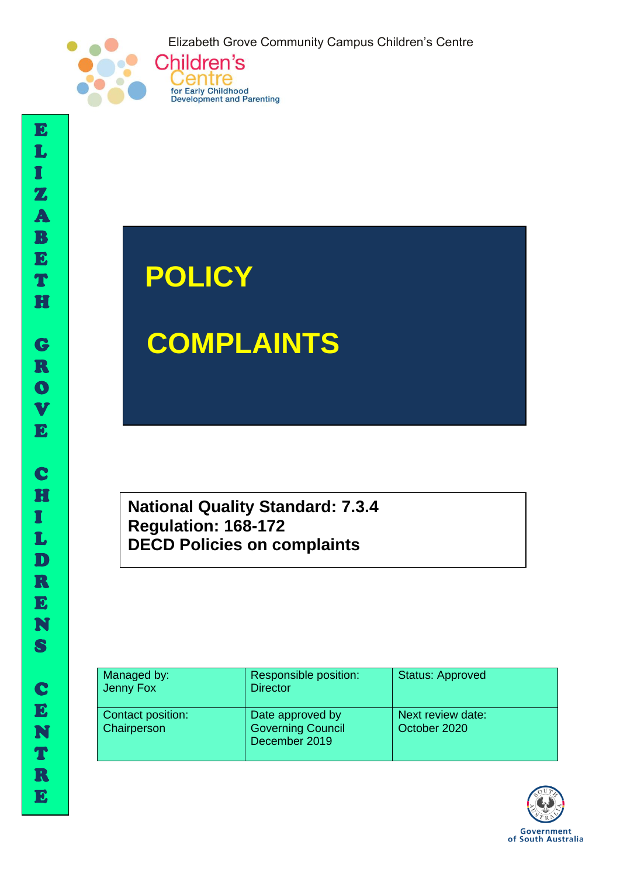Elizabeth Grove Community Campus Children's Centre



# **POLICY**

Centre

for Early Childhood<br>Development and Parenting

# **COMPLAINTS**

**National Quality Standard: 7.3.4 Regulation: 168-172 DECD Policies on complaints** 

| Managed by:<br>Jenny Fox         | Responsible position:<br><b>Director</b>                      | <b>Status: Approved</b>           |
|----------------------------------|---------------------------------------------------------------|-----------------------------------|
| Contact position:<br>Chairperson | Date approved by<br><b>Governing Council</b><br>December 2019 | Next review date:<br>October 2020 |



I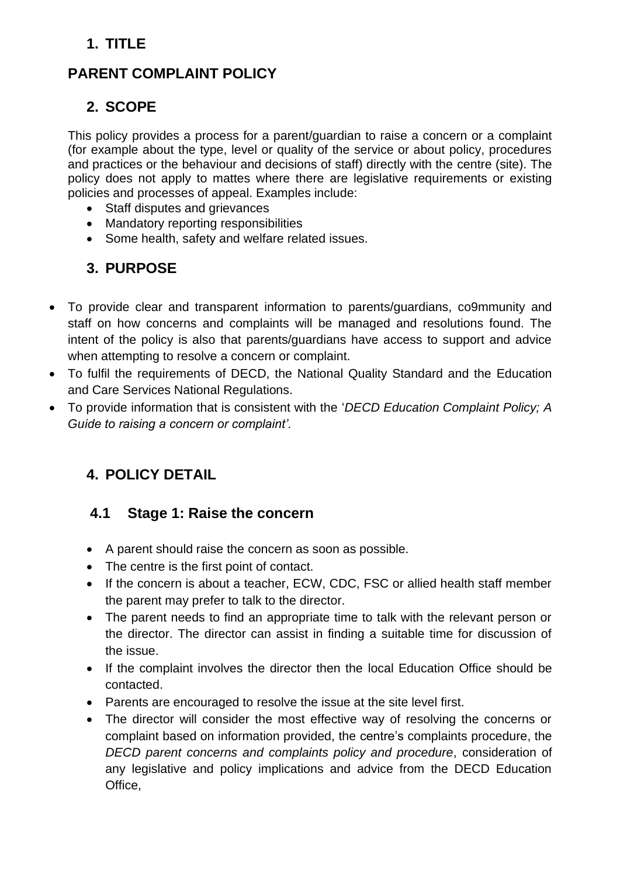## **1. TITLE**

## **PARENT COMPLAINT POLICY**

## **2. SCOPE**

This policy provides a process for a parent/guardian to raise a concern or a complaint (for example about the type, level or quality of the service or about policy, procedures and practices or the behaviour and decisions of staff) directly with the centre (site). The policy does not apply to mattes where there are legislative requirements or existing policies and processes of appeal. Examples include:

- Staff disputes and grievances
- Mandatory reporting responsibilities
- Some health, safety and welfare related issues.

## **3. PURPOSE**

- To provide clear and transparent information to parents/guardians, co9mmunity and staff on how concerns and complaints will be managed and resolutions found. The intent of the policy is also that parents/guardians have access to support and advice when attempting to resolve a concern or complaint.
- To fulfil the requirements of DECD, the National Quality Standard and the Education and Care Services National Regulations.
- To provide information that is consistent with the '*DECD Education Complaint Policy; A Guide to raising a concern or complaint'.*

## **4. POLICY DETAIL**

#### **4.1 Stage 1: Raise the concern**

- A parent should raise the concern as soon as possible.
- The centre is the first point of contact.
- If the concern is about a teacher, ECW, CDC, FSC or allied health staff member the parent may prefer to talk to the director.
- The parent needs to find an appropriate time to talk with the relevant person or the director. The director can assist in finding a suitable time for discussion of the issue.
- If the complaint involves the director then the local Education Office should be contacted.
- Parents are encouraged to resolve the issue at the site level first.
- The director will consider the most effective way of resolving the concerns or complaint based on information provided, the centre's complaints procedure, the *DECD parent concerns and complaints policy and procedure*, consideration of any legislative and policy implications and advice from the DECD Education Office,